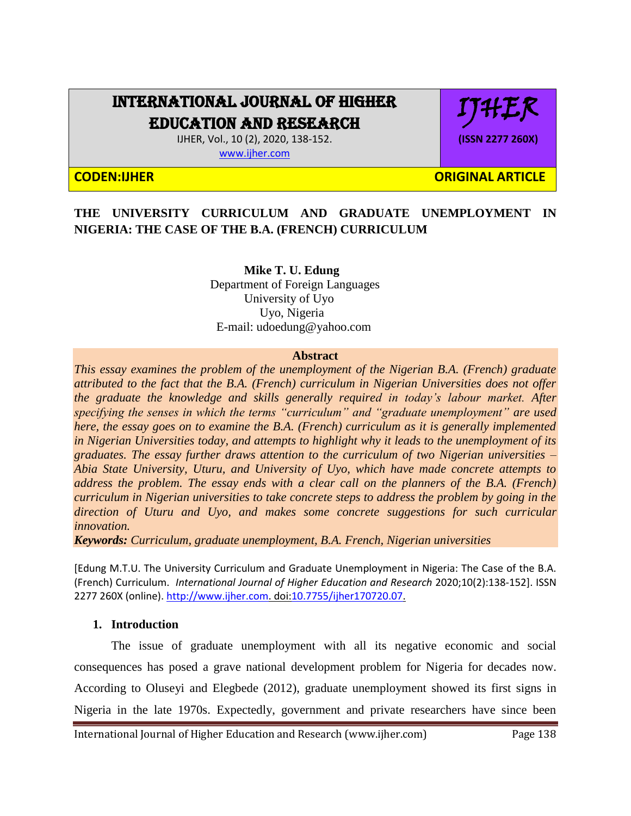# INTERNATIONAL JOURNAL OF HIGHER EDUCATION AND RESEARCH

IJHER, Vol., 10 (2), 2020, 138-152. [www.ijher.com](http://www.ijher.com/)

IJHER

**(ISSN 2277 260X)**

**CODEN:IJHER ORIGINAL ARTICLE** 

## **THE UNIVERSITY CURRICULUM AND GRADUATE UNEMPLOYMENT IN NIGERIA: THE CASE OF THE B.A. (FRENCH) CURRICULUM**

 **Mike T. U. Edung** Department of Foreign Languages University of Uyo Uyo, Nigeria E-mail: udoedung@yahoo.com

#### **Abstract**

*This essay examines the problem of the unemployment of the Nigerian B.A. (French) graduate attributed to the fact that the B.A. (French) curriculum in Nigerian Universities does not offer the graduate the knowledge and skills generally required in today's labour market. After specifying the senses in which the terms "curriculum" and "graduate unemployment" are used here, the essay goes on to examine the B.A. (French) curriculum as it is generally implemented in Nigerian Universities today, and attempts to highlight why it leads to the unemployment of its graduates. The essay further draws attention to the curriculum of two Nigerian universities – Abia State University, Uturu, and University of Uyo, which have made concrete attempts to address the problem. The essay ends with a clear call on the planners of the B.A. (French) curriculum in Nigerian universities to take concrete steps to address the problem by going in the direction of Uturu and Uyo, and makes some concrete suggestions for such curricular innovation.*

*Keywords: Curriculum, graduate unemployment, B.A. French, Nigerian universities*

[Edung M.T.U. The University Curriculum and Graduate Unemployment in Nigeria: The Case of the B.A. (French) Curriculum. *International Journal of Higher Education and Research* 2020;10(2):138-152]. ISSN 2277 260X (online)[. http://www.ijher.com.](http://www.ijher.com/) doi[:10.7755/ijher170720.07.](http://www.dx.doi.org/10.7537/marslsj170720.01)

#### **1. Introduction**

The issue of graduate unemployment with all its negative economic and social consequences has posed a grave national development problem for Nigeria for decades now. According to Oluseyi and Elegbede (2012), graduate unemployment showed its first signs in Nigeria in the late 1970s. Expectedly, government and private researchers have since been

International Journal of Higher Education and Research (www.ijher.com) Page 138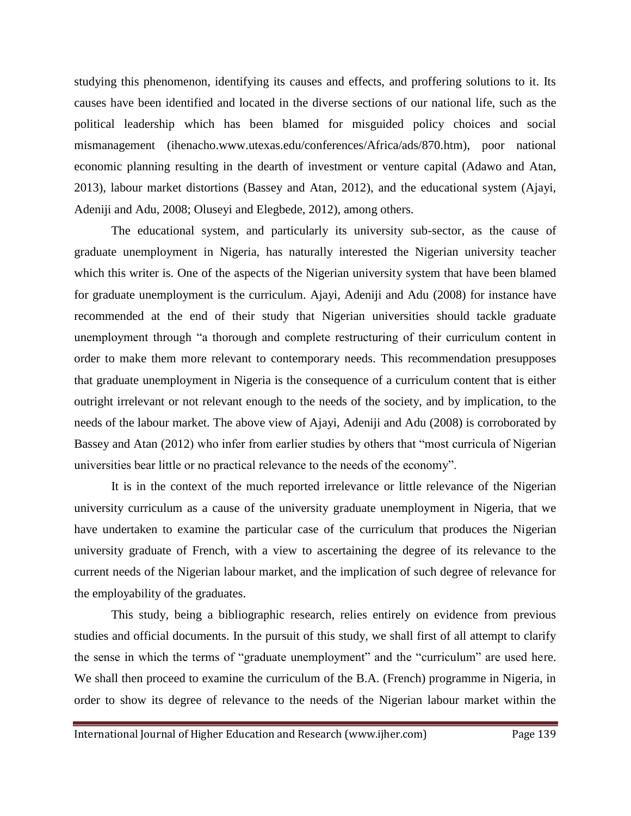studying this phenomenon, identifying its causes and effects, and proffering solutions to it. Its causes have been identified and located in the diverse sections of our national life, such as the political leadership which has been blamed for misguided policy choices and social mismanagement (ihenacho.www.utexas.edu/conferences/Africa/ads/870.htm), poor national economic planning resulting in the dearth of investment or venture capital (Adawo and Atan, 2013), labour market distortions (Bassey and Atan, 2012), and the educational system (Ajayi, Adeniji and Adu, 2008; Oluseyi and Elegbede, 2012), among others.

The educational system, and particularly its university sub-sector, as the cause of graduate unemployment in Nigeria, has naturally interested the Nigerian university teacher which this writer is. One of the aspects of the Nigerian university system that have been blamed for graduate unemployment is the curriculum. Ajayi, Adeniji and Adu (2008) for instance have recommended at the end of their study that Nigerian universities should tackle graduate unemployment through "a thorough and complete restructuring of their curriculum content in order to make them more relevant to contemporary needs. This recommendation presupposes that graduate unemployment in Nigeria is the consequence of a curriculum content that is either outright irrelevant or not relevant enough to the needs of the society, and by implication, to the needs of the labour market. The above view of Ajayi, Adeniji and Adu (2008) is corroborated by Bassey and Atan (2012) who infer from earlier studies by others that "most curricula of Nigerian universities bear little or no practical relevance to the needs of the economy".

It is in the context of the much reported irrelevance or little relevance of the Nigerian university curriculum as a cause of the university graduate unemployment in Nigeria, that we have undertaken to examine the particular case of the curriculum that produces the Nigerian university graduate of French, with a view to ascertaining the degree of its relevance to the current needs of the Nigerian labour market, and the implication of such degree of relevance for the employability of the graduates.

This study, being a bibliographic research, relies entirely on evidence from previous studies and official documents. In the pursuit of this study, we shall first of all attempt to clarify the sense in which the terms of "graduate unemployment" and the "curriculum" are used here. We shall then proceed to examine the curriculum of the B.A. (French) programme in Nigeria, in order to show its degree of relevance to the needs of the Nigerian labour market within the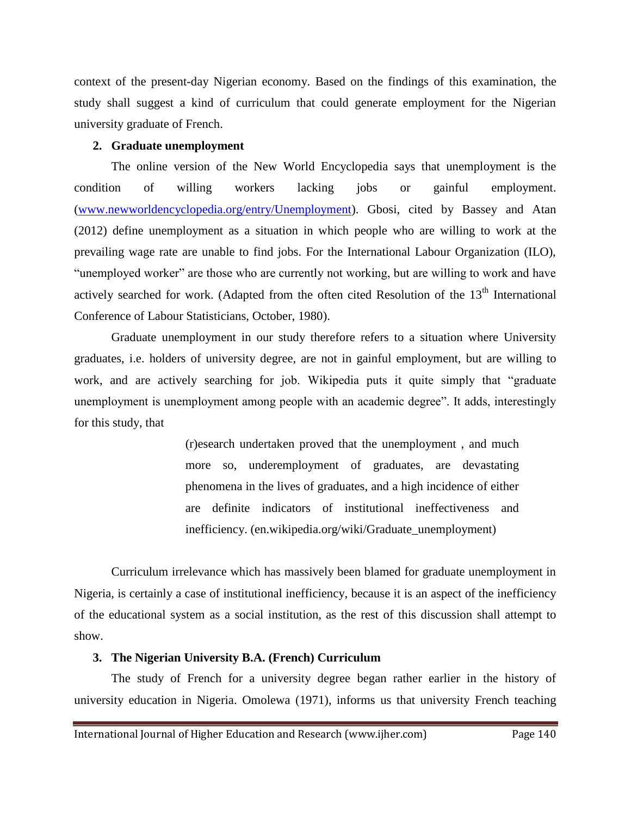context of the present-day Nigerian economy. Based on the findings of this examination, the study shall suggest a kind of curriculum that could generate employment for the Nigerian university graduate of French.

### **2. Graduate unemployment**

The online version of the New World Encyclopedia says that unemployment is the condition of willing workers lacking jobs or gainful employment. [\(www.newworldencyclopedia.org/entry/Unemployment\)](http://www.newworldencyclopedia.org/entry/Unemployment). Gbosi, cited by Bassey and Atan (2012) define unemployment as a situation in which people who are willing to work at the prevailing wage rate are unable to find jobs. For the International Labour Organization (ILO), "unemployed worker" are those who are currently not working, but are willing to work and have actively searched for work. (Adapted from the often cited Resolution of the 13<sup>th</sup> International Conference of Labour Statisticians, October, 1980).

Graduate unemployment in our study therefore refers to a situation where University graduates, i.e. holders of university degree, are not in gainful employment, but are willing to work, and are actively searching for job. Wikipedia puts it quite simply that "graduate unemployment is unemployment among people with an academic degree". It adds, interestingly for this study, that

> (r)esearch undertaken proved that the unemployment , and much more so, underemployment of graduates, are devastating phenomena in the lives of graduates, and a high incidence of either are definite indicators of institutional ineffectiveness and inefficiency. (en.wikipedia.org/wiki/Graduate\_unemployment)

Curriculum irrelevance which has massively been blamed for graduate unemployment in Nigeria, is certainly a case of institutional inefficiency, because it is an aspect of the inefficiency of the educational system as a social institution, as the rest of this discussion shall attempt to show.

## **3. The Nigerian University B.A. (French) Curriculum**

The study of French for a university degree began rather earlier in the history of university education in Nigeria. Omolewa (1971), informs us that university French teaching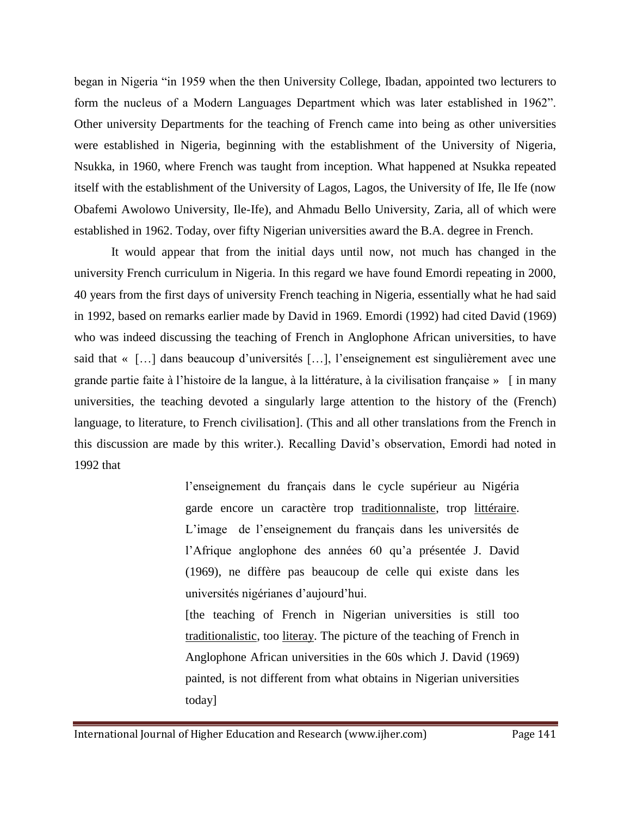began in Nigeria "in 1959 when the then University College, Ibadan, appointed two lecturers to form the nucleus of a Modern Languages Department which was later established in 1962". Other university Departments for the teaching of French came into being as other universities were established in Nigeria, beginning with the establishment of the University of Nigeria, Nsukka, in 1960, where French was taught from inception. What happened at Nsukka repeated itself with the establishment of the University of Lagos, Lagos, the University of Ife, Ile Ife (now Obafemi Awolowo University, Ile-Ife), and Ahmadu Bello University, Zaria, all of which were established in 1962. Today, over fifty Nigerian universities award the B.A. degree in French.

It would appear that from the initial days until now, not much has changed in the university French curriculum in Nigeria. In this regard we have found Emordi repeating in 2000, 40 years from the first days of university French teaching in Nigeria, essentially what he had said in 1992, based on remarks earlier made by David in 1969. Emordi (1992) had cited David (1969) who was indeed discussing the teaching of French in Anglophone African universities, to have said that « […] dans beaucoup d'universités […], l'enseignement est singulièrement avec une grande partie faite à l'histoire de la langue, à la littérature, à la civilisation française » [ in many universities, the teaching devoted a singularly large attention to the history of the (French) language, to literature, to French civilisation]. (This and all other translations from the French in this discussion are made by this writer.). Recalling David's observation, Emordi had noted in 1992 that

> l'enseignement du français dans le cycle supérieur au Nigéria garde encore un caractère trop traditionnaliste, trop littéraire. L'image de l'enseignement du français dans les universités de l'Afrique anglophone des années 60 qu'a présentée J. David (1969), ne diffère pas beaucoup de celle qui existe dans les universités nigérianes d'aujourd'hui.

> [the teaching of French in Nigerian universities is still too traditionalistic, too literay. The picture of the teaching of French in Anglophone African universities in the 60s which J. David (1969) painted, is not different from what obtains in Nigerian universities today]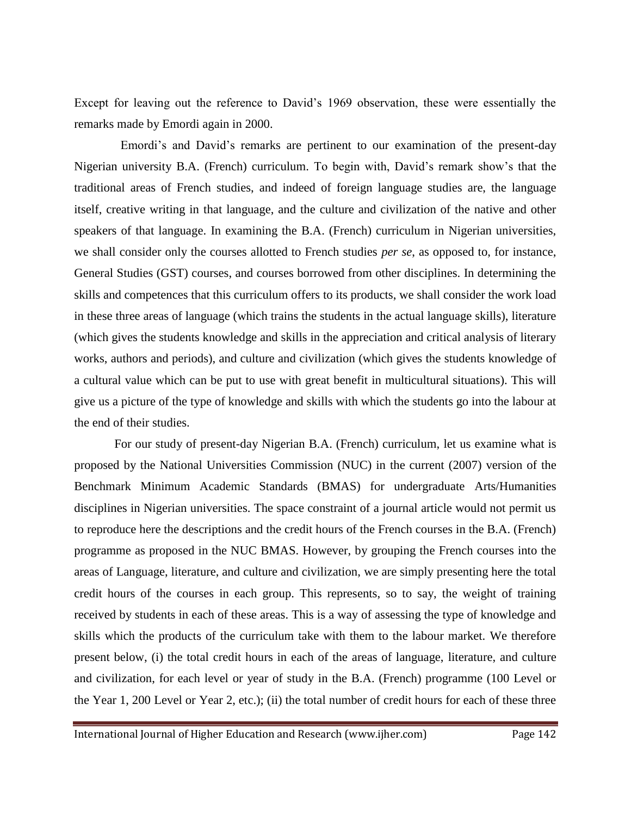Except for leaving out the reference to David's 1969 observation, these were essentially the remarks made by Emordi again in 2000.

 Emordi's and David's remarks are pertinent to our examination of the present-day Nigerian university B.A. (French) curriculum. To begin with, David's remark show's that the traditional areas of French studies, and indeed of foreign language studies are, the language itself, creative writing in that language, and the culture and civilization of the native and other speakers of that language. In examining the B.A. (French) curriculum in Nigerian universities, we shall consider only the courses allotted to French studies *per se*, as opposed to, for instance, General Studies (GST) courses, and courses borrowed from other disciplines. In determining the skills and competences that this curriculum offers to its products, we shall consider the work load in these three areas of language (which trains the students in the actual language skills), literature (which gives the students knowledge and skills in the appreciation and critical analysis of literary works, authors and periods), and culture and civilization (which gives the students knowledge of a cultural value which can be put to use with great benefit in multicultural situations). This will give us a picture of the type of knowledge and skills with which the students go into the labour at the end of their studies.

 For our study of present-day Nigerian B.A. (French) curriculum, let us examine what is proposed by the National Universities Commission (NUC) in the current (2007) version of the Benchmark Minimum Academic Standards (BMAS) for undergraduate Arts/Humanities disciplines in Nigerian universities. The space constraint of a journal article would not permit us to reproduce here the descriptions and the credit hours of the French courses in the B.A. (French) programme as proposed in the NUC BMAS. However, by grouping the French courses into the areas of Language, literature, and culture and civilization, we are simply presenting here the total credit hours of the courses in each group. This represents, so to say, the weight of training received by students in each of these areas. This is a way of assessing the type of knowledge and skills which the products of the curriculum take with them to the labour market. We therefore present below, (i) the total credit hours in each of the areas of language, literature, and culture and civilization, for each level or year of study in the B.A. (French) programme (100 Level or the Year 1, 200 Level or Year 2, etc.); (ii) the total number of credit hours for each of these three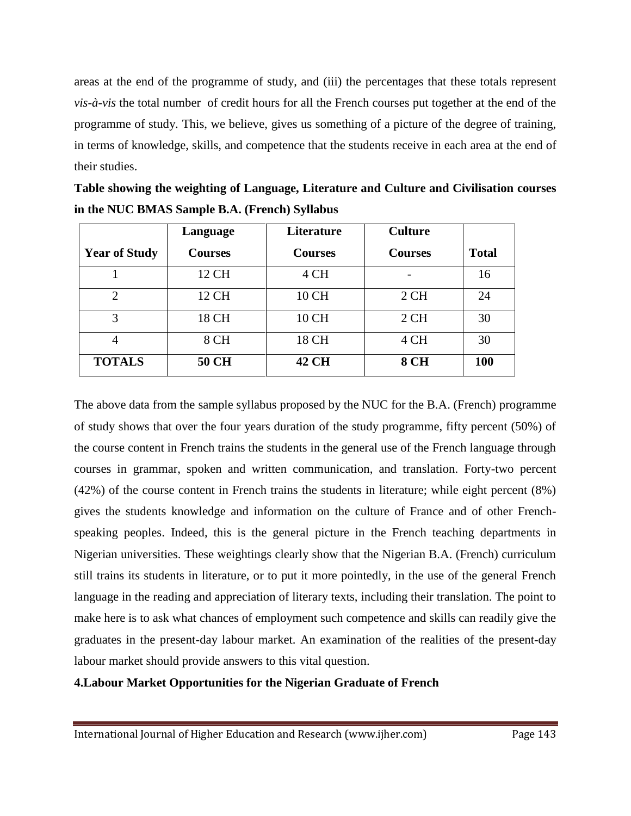areas at the end of the programme of study, and (iii) the percentages that these totals represent *vis-à-vis* the total number of credit hours for all the French courses put together at the end of the programme of study. This, we believe, gives us something of a picture of the degree of training, in terms of knowledge, skills, and competence that the students receive in each area at the end of their studies.

|                      | Language       | Literature     | <b>Culture</b> |              |
|----------------------|----------------|----------------|----------------|--------------|
| <b>Year of Study</b> | <b>Courses</b> | <b>Courses</b> | <b>Courses</b> | <b>Total</b> |
|                      | 12 CH          | 4 CH           |                | 16           |
| $\overline{2}$       | 12 CH          | 10 CH          | 2CH            | 24           |
| 3                    | 18 CH          | 10 CH          | 2CH            | 30           |
| $\overline{4}$       | 8 CH           | 18 CH          | 4 CH           | 30           |
| <b>TOTALS</b>        | 50 CH          | 42 CH          | <b>8 CH</b>    | 100          |

| Table showing the weighting of Language, Literature and Culture and Civilisation courses |
|------------------------------------------------------------------------------------------|
| in the NUC BMAS Sample B.A. (French) Syllabus                                            |

The above data from the sample syllabus proposed by the NUC for the B.A. (French) programme of study shows that over the four years duration of the study programme, fifty percent (50%) of the course content in French trains the students in the general use of the French language through courses in grammar, spoken and written communication, and translation. Forty-two percent (42%) of the course content in French trains the students in literature; while eight percent (8%) gives the students knowledge and information on the culture of France and of other Frenchspeaking peoples. Indeed, this is the general picture in the French teaching departments in Nigerian universities. These weightings clearly show that the Nigerian B.A. (French) curriculum still trains its students in literature, or to put it more pointedly, in the use of the general French language in the reading and appreciation of literary texts, including their translation. The point to make here is to ask what chances of employment such competence and skills can readily give the graduates in the present-day labour market. An examination of the realities of the present-day labour market should provide answers to this vital question.

## **4.Labour Market Opportunities for the Nigerian Graduate of French**

International Journal of Higher Education and Research (www.ijher.com) Page 143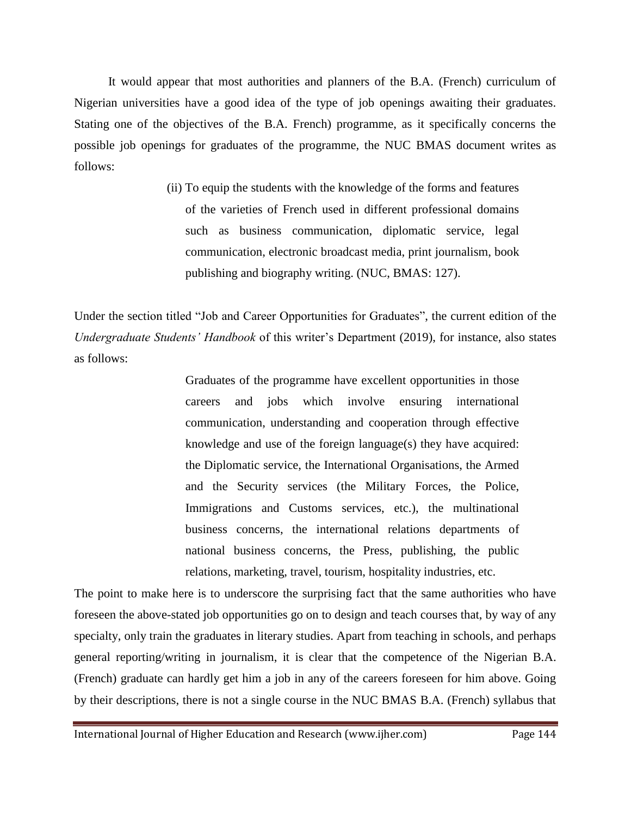It would appear that most authorities and planners of the B.A. (French) curriculum of Nigerian universities have a good idea of the type of job openings awaiting their graduates. Stating one of the objectives of the B.A. French) programme, as it specifically concerns the possible job openings for graduates of the programme, the NUC BMAS document writes as follows:

> (ii) To equip the students with the knowledge of the forms and features of the varieties of French used in different professional domains such as business communication, diplomatic service, legal communication, electronic broadcast media, print journalism, book publishing and biography writing. (NUC, BMAS: 127).

Under the section titled "Job and Career Opportunities for Graduates", the current edition of the *Undergraduate Students' Handbook* of this writer's Department (2019), for instance, also states as follows:

> Graduates of the programme have excellent opportunities in those careers and jobs which involve ensuring international communication, understanding and cooperation through effective knowledge and use of the foreign language(s) they have acquired: the Diplomatic service, the International Organisations, the Armed and the Security services (the Military Forces, the Police, Immigrations and Customs services, etc.), the multinational business concerns, the international relations departments of national business concerns, the Press, publishing, the public relations, marketing, travel, tourism, hospitality industries, etc.

The point to make here is to underscore the surprising fact that the same authorities who have foreseen the above-stated job opportunities go on to design and teach courses that, by way of any specialty, only train the graduates in literary studies. Apart from teaching in schools, and perhaps general reporting/writing in journalism, it is clear that the competence of the Nigerian B.A. (French) graduate can hardly get him a job in any of the careers foreseen for him above. Going by their descriptions, there is not a single course in the NUC BMAS B.A. (French) syllabus that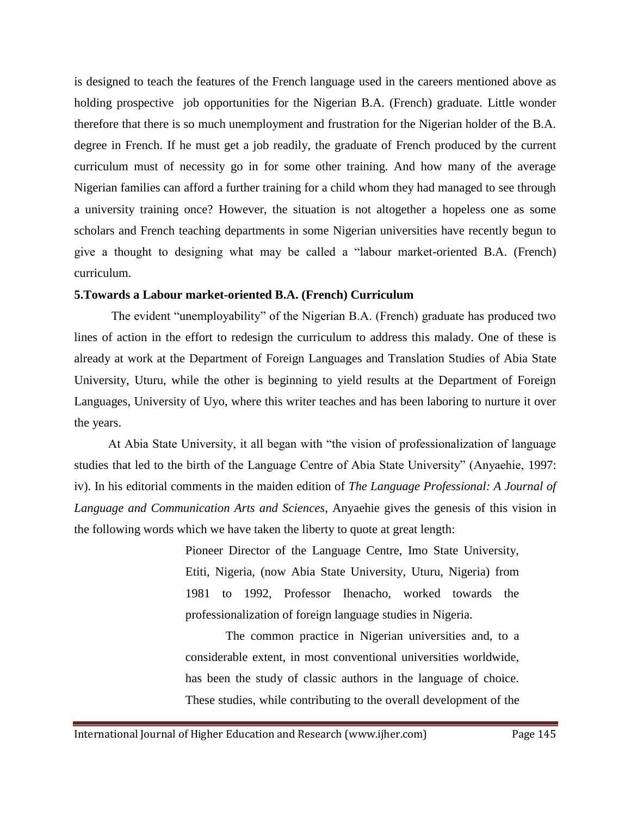is designed to teach the features of the French language used in the careers mentioned above as holding prospective job opportunities for the Nigerian B.A. (French) graduate. Little wonder therefore that there is so much unemployment and frustration for the Nigerian holder of the B.A. degree in French. If he must get a job readily, the graduate of French produced by the current curriculum must of necessity go in for some other training. And how many of the average Nigerian families can afford a further training for a child whom they had managed to see through a university training once? However, the situation is not altogether a hopeless one as some scholars and French teaching departments in some Nigerian universities have recently begun to give a thought to designing what may be called a "labour market-oriented B.A. (French) curriculum.

#### **5.Towards a Labour market-oriented B.A. (French) Curriculum**

 The evident "unemployability" of the Nigerian B.A. (French) graduate has produced two lines of action in the effort to redesign the curriculum to address this malady. One of these is already at work at the Department of Foreign Languages and Translation Studies of Abia State University, Uturu, while the other is beginning to yield results at the Department of Foreign Languages, University of Uyo, where this writer teaches and has been laboring to nurture it over the years.

 At Abia State University, it all began with "the vision of professionalization of language studies that led to the birth of the Language Centre of Abia State University" (Anyaehie, 1997: iv). In his editorial comments in the maiden edition of *The Language Professional: A Journal of Language and Communication Arts and Sciences*, Anyaehie gives the genesis of this vision in the following words which we have taken the liberty to quote at great length:

> Pioneer Director of the Language Centre, Imo State University, Etiti, Nigeria, (now Abia State University, Uturu, Nigeria) from 1981 to 1992, Professor Ihenacho, worked towards the professionalization of foreign language studies in Nigeria.

> The common practice in Nigerian universities and, to a considerable extent, in most conventional universities worldwide, has been the study of classic authors in the language of choice. These studies, while contributing to the overall development of the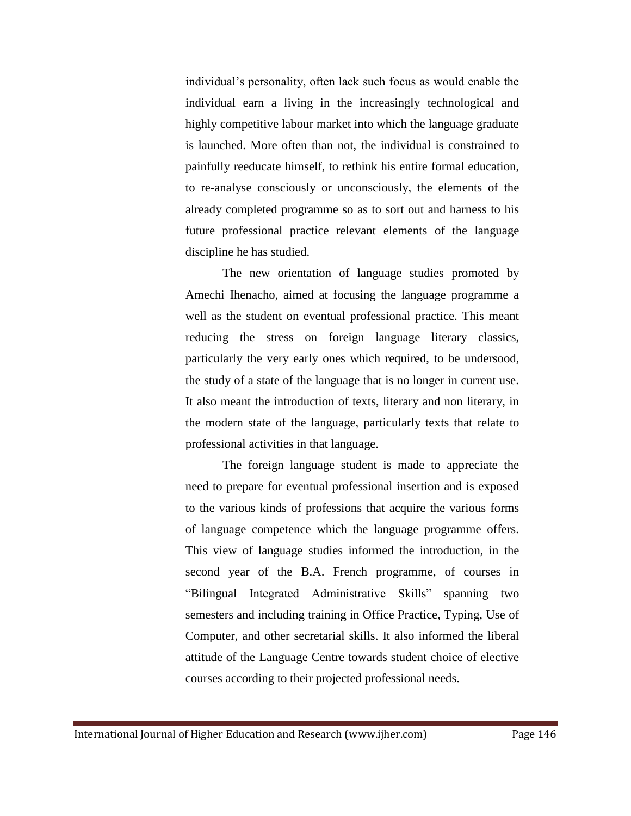individual's personality, often lack such focus as would enable the individual earn a living in the increasingly technological and highly competitive labour market into which the language graduate is launched. More often than not, the individual is constrained to painfully reeducate himself, to rethink his entire formal education, to re-analyse consciously or unconsciously, the elements of the already completed programme so as to sort out and harness to his future professional practice relevant elements of the language discipline he has studied.

The new orientation of language studies promoted by Amechi Ihenacho, aimed at focusing the language programme a well as the student on eventual professional practice. This meant reducing the stress on foreign language literary classics, particularly the very early ones which required, to be undersood, the study of a state of the language that is no longer in current use. It also meant the introduction of texts, literary and non literary, in the modern state of the language, particularly texts that relate to professional activities in that language.

The foreign language student is made to appreciate the need to prepare for eventual professional insertion and is exposed to the various kinds of professions that acquire the various forms of language competence which the language programme offers. This view of language studies informed the introduction, in the second year of the B.A. French programme, of courses in "Bilingual Integrated Administrative Skills" spanning two semesters and including training in Office Practice, Typing, Use of Computer, and other secretarial skills. It also informed the liberal attitude of the Language Centre towards student choice of elective courses according to their projected professional needs.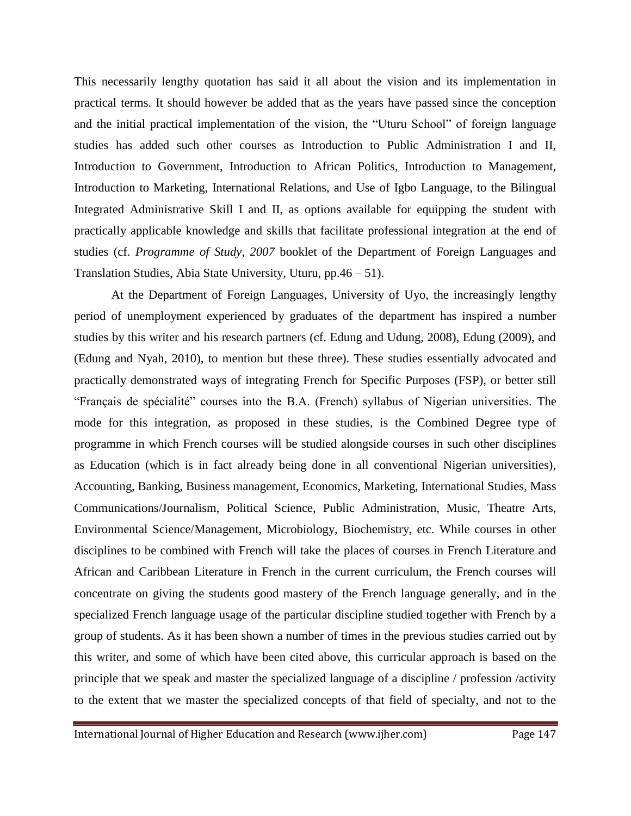This necessarily lengthy quotation has said it all about the vision and its implementation in practical terms. It should however be added that as the years have passed since the conception and the initial practical implementation of the vision, the "Uturu School" of foreign language studies has added such other courses as Introduction to Public Administration I and II, Introduction to Government, Introduction to African Politics, Introduction to Management, Introduction to Marketing, International Relations, and Use of Igbo Language, to the Bilingual Integrated Administrative Skill I and II, as options available for equipping the student with practically applicable knowledge and skills that facilitate professional integration at the end of studies (cf. *Programme of Study, 2007* booklet of the Department of Foreign Languages and Translation Studies, Abia State University, Uturu, pp.46 – 51).

At the Department of Foreign Languages, University of Uyo, the increasingly lengthy period of unemployment experienced by graduates of the department has inspired a number studies by this writer and his research partners (cf. Edung and Udung, 2008), Edung (2009), and (Edung and Nyah, 2010), to mention but these three). These studies essentially advocated and practically demonstrated ways of integrating French for Specific Purposes (FSP), or better still "Français de spécialité" courses into the B.A. (French) syllabus of Nigerian universities. The mode for this integration, as proposed in these studies, is the Combined Degree type of programme in which French courses will be studied alongside courses in such other disciplines as Education (which is in fact already being done in all conventional Nigerian universities), Accounting, Banking, Business management, Economics, Marketing, International Studies, Mass Communications/Journalism, Political Science, Public Administration, Music, Theatre Arts, Environmental Science/Management, Microbiology, Biochemistry, etc. While courses in other disciplines to be combined with French will take the places of courses in French Literature and African and Caribbean Literature in French in the current curriculum, the French courses will concentrate on giving the students good mastery of the French language generally, and in the specialized French language usage of the particular discipline studied together with French by a group of students. As it has been shown a number of times in the previous studies carried out by this writer, and some of which have been cited above, this curricular approach is based on the principle that we speak and master the specialized language of a discipline / profession /activity to the extent that we master the specialized concepts of that field of specialty, and not to the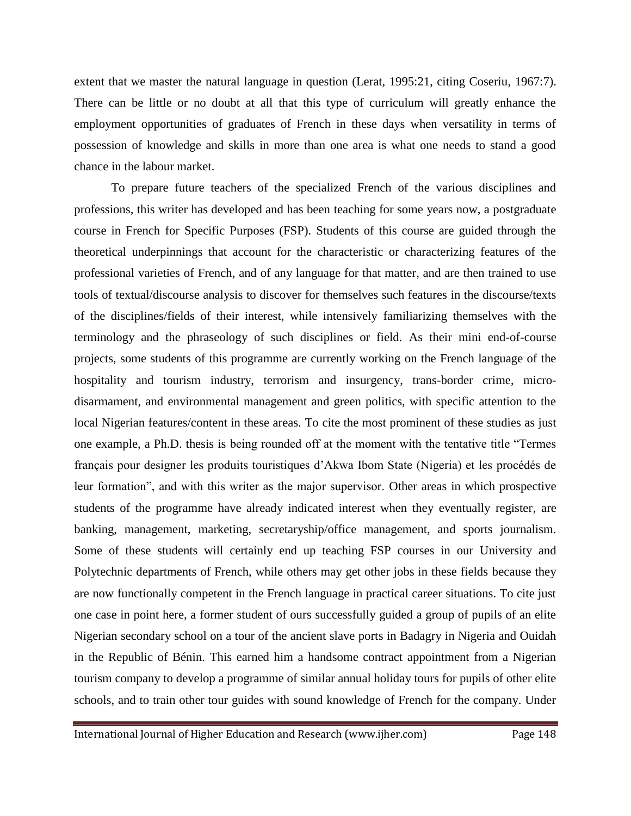extent that we master the natural language in question (Lerat, 1995:21, citing Coseriu, 1967:7). There can be little or no doubt at all that this type of curriculum will greatly enhance the employment opportunities of graduates of French in these days when versatility in terms of possession of knowledge and skills in more than one area is what one needs to stand a good chance in the labour market.

To prepare future teachers of the specialized French of the various disciplines and professions, this writer has developed and has been teaching for some years now, a postgraduate course in French for Specific Purposes (FSP). Students of this course are guided through the theoretical underpinnings that account for the characteristic or characterizing features of the professional varieties of French, and of any language for that matter, and are then trained to use tools of textual/discourse analysis to discover for themselves such features in the discourse/texts of the disciplines/fields of their interest, while intensively familiarizing themselves with the terminology and the phraseology of such disciplines or field. As their mini end-of-course projects, some students of this programme are currently working on the French language of the hospitality and tourism industry, terrorism and insurgency, trans-border crime, microdisarmament, and environmental management and green politics, with specific attention to the local Nigerian features/content in these areas. To cite the most prominent of these studies as just one example, a Ph.D. thesis is being rounded off at the moment with the tentative title "Termes français pour designer les produits touristiques d'Akwa Ibom State (Nigeria) et les procédés de leur formation", and with this writer as the major supervisor. Other areas in which prospective students of the programme have already indicated interest when they eventually register, are banking, management, marketing, secretaryship/office management, and sports journalism. Some of these students will certainly end up teaching FSP courses in our University and Polytechnic departments of French, while others may get other jobs in these fields because they are now functionally competent in the French language in practical career situations. To cite just one case in point here, a former student of ours successfully guided a group of pupils of an elite Nigerian secondary school on a tour of the ancient slave ports in Badagry in Nigeria and Ouidah in the Republic of Bénin. This earned him a handsome contract appointment from a Nigerian tourism company to develop a programme of similar annual holiday tours for pupils of other elite schools, and to train other tour guides with sound knowledge of French for the company. Under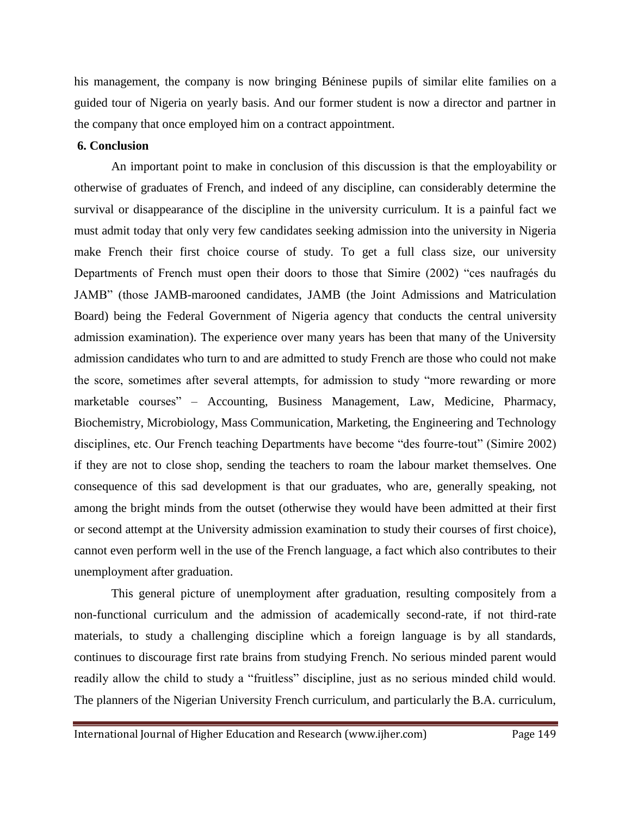his management, the company is now bringing Béninese pupils of similar elite families on a guided tour of Nigeria on yearly basis. And our former student is now a director and partner in the company that once employed him on a contract appointment.

#### **6. Conclusion**

An important point to make in conclusion of this discussion is that the employability or otherwise of graduates of French, and indeed of any discipline, can considerably determine the survival or disappearance of the discipline in the university curriculum. It is a painful fact we must admit today that only very few candidates seeking admission into the university in Nigeria make French their first choice course of study. To get a full class size, our university Departments of French must open their doors to those that Simire (2002) "ces naufragés du JAMB" (those JAMB-marooned candidates, JAMB (the Joint Admissions and Matriculation Board) being the Federal Government of Nigeria agency that conducts the central university admission examination). The experience over many years has been that many of the University admission candidates who turn to and are admitted to study French are those who could not make the score, sometimes after several attempts, for admission to study "more rewarding or more marketable courses" – Accounting, Business Management, Law, Medicine, Pharmacy, Biochemistry, Microbiology, Mass Communication, Marketing, the Engineering and Technology disciplines, etc. Our French teaching Departments have become "des fourre-tout" (Simire 2002) if they are not to close shop, sending the teachers to roam the labour market themselves. One consequence of this sad development is that our graduates, who are, generally speaking, not among the bright minds from the outset (otherwise they would have been admitted at their first or second attempt at the University admission examination to study their courses of first choice), cannot even perform well in the use of the French language, a fact which also contributes to their unemployment after graduation.

This general picture of unemployment after graduation, resulting compositely from a non-functional curriculum and the admission of academically second-rate, if not third-rate materials, to study a challenging discipline which a foreign language is by all standards, continues to discourage first rate brains from studying French. No serious minded parent would readily allow the child to study a "fruitless" discipline, just as no serious minded child would. The planners of the Nigerian University French curriculum, and particularly the B.A. curriculum,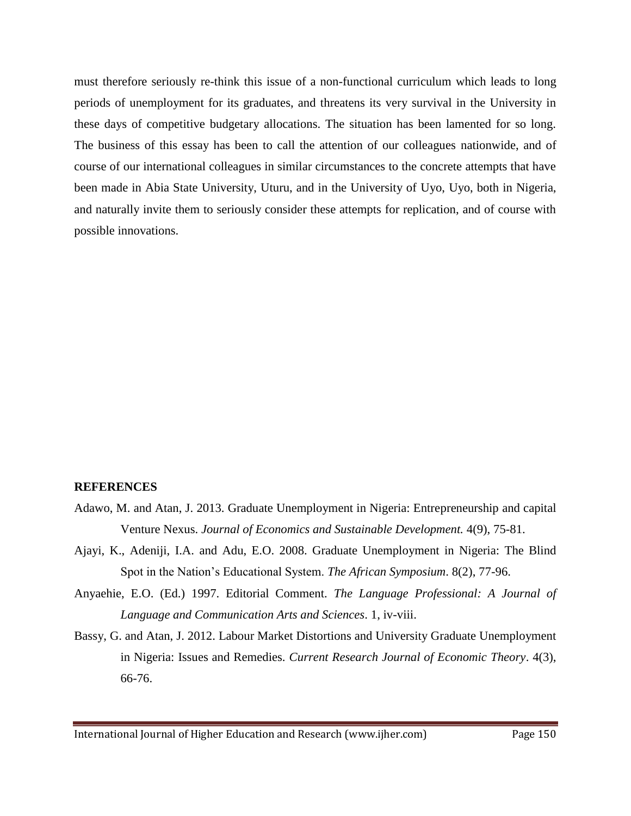must therefore seriously re-think this issue of a non-functional curriculum which leads to long periods of unemployment for its graduates, and threatens its very survival in the University in these days of competitive budgetary allocations. The situation has been lamented for so long. The business of this essay has been to call the attention of our colleagues nationwide, and of course of our international colleagues in similar circumstances to the concrete attempts that have been made in Abia State University, Uturu, and in the University of Uyo, Uyo, both in Nigeria, and naturally invite them to seriously consider these attempts for replication, and of course with possible innovations.

#### **REFERENCES**

- Adawo, M. and Atan, J. 2013. Graduate Unemployment in Nigeria: Entrepreneurship and capital Venture Nexus. *Journal of Economics and Sustainable Development.* 4(9), 75-81.
- Ajayi, K., Adeniji, I.A. and Adu, E.O. 2008. Graduate Unemployment in Nigeria: The Blind Spot in the Nation's Educational System. *The African Symposium*. 8(2), 77-96.
- Anyaehie, E.O. (Ed.) 1997. Editorial Comment. *The Language Professional: A Journal of Language and Communication Arts and Sciences*. 1, iv-viii.
- Bassy, G. and Atan, J. 2012. Labour Market Distortions and University Graduate Unemployment in Nigeria: Issues and Remedies. *Current Research Journal of Economic Theory*. 4(3), 66-76.

International Journal of Higher Education and Research (www.ijher.com) Page 150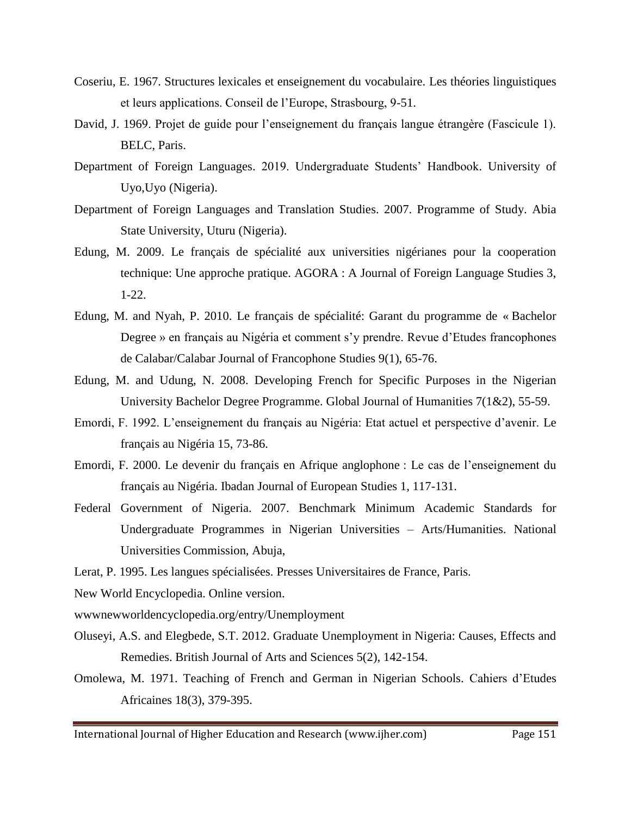- Coseriu, E. 1967. Structures lexicales et enseignement du vocabulaire. Les théories linguistiques et leurs applications. Conseil de l'Europe, Strasbourg, 9-51.
- David, J. 1969. Projet de guide pour l'enseignement du français langue étrangère (Fascicule 1). BELC, Paris.
- Department of Foreign Languages. 2019. Undergraduate Students' Handbook. University of Uyo,Uyo (Nigeria).
- Department of Foreign Languages and Translation Studies. 2007. Programme of Study. Abia State University, Uturu (Nigeria).
- Edung, M. 2009. Le français de spécialité aux universities nigérianes pour la cooperation technique: Une approche pratique. AGORA : A Journal of Foreign Language Studies 3, 1-22.
- Edung, M. and Nyah, P. 2010. Le français de spécialité: Garant du programme de « Bachelor Degree » en français au Nigéria et comment s'y prendre. Revue d'Etudes francophones de Calabar/Calabar Journal of Francophone Studies 9(1), 65-76.
- Edung, M. and Udung, N. 2008. Developing French for Specific Purposes in the Nigerian University Bachelor Degree Programme. Global Journal of Humanities 7(1&2), 55-59.
- Emordi, F. 1992. L'enseignement du français au Nigéria: Etat actuel et perspective d'avenir. Le français au Nigéria 15, 73-86.
- Emordi, F. 2000. Le devenir du français en Afrique anglophone : Le cas de l'enseignement du français au Nigéria. Ibadan Journal of European Studies 1, 117-131.
- Federal Government of Nigeria. 2007. Benchmark Minimum Academic Standards for Undergraduate Programmes in Nigerian Universities – Arts/Humanities. National Universities Commission, Abuja,
- Lerat, P. 1995. Les langues spécialisées. Presses Universitaires de France, Paris.
- New World Encyclopedia. Online version.
- wwwnewworldencyclopedia.org/entry/Unemployment
- Oluseyi, A.S. and Elegbede, S.T. 2012. Graduate Unemployment in Nigeria: Causes, Effects and Remedies. British Journal of Arts and Sciences 5(2), 142-154.
- Omolewa, M. 1971. Teaching of French and German in Nigerian Schools. Cahiers d'Etudes Africaines 18(3), 379-395.